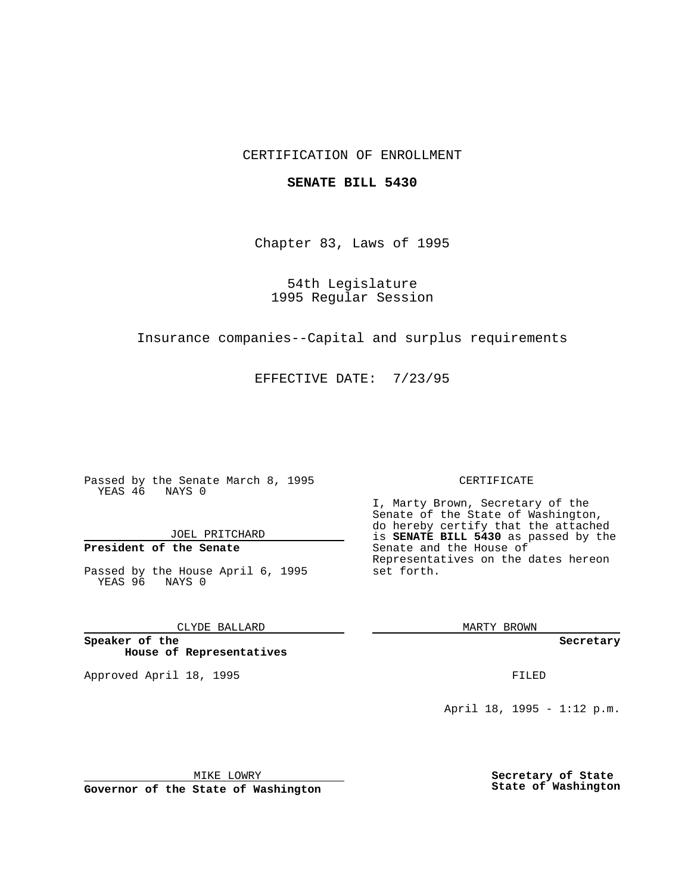## CERTIFICATION OF ENROLLMENT

### **SENATE BILL 5430**

Chapter 83, Laws of 1995

54th Legislature 1995 Regular Session

Insurance companies--Capital and surplus requirements

EFFECTIVE DATE: 7/23/95

Passed by the Senate March 8, 1995 YEAS 46 NAYS 0

JOEL PRITCHARD

# **President of the Senate**

Passed by the House April 6, 1995 YEAS 96 NAYS 0

CLYDE BALLARD

**Speaker of the House of Representatives**

Approved April 18, 1995 FILED

#### CERTIFICATE

I, Marty Brown, Secretary of the Senate of the State of Washington, do hereby certify that the attached is **SENATE BILL 5430** as passed by the Senate and the House of Representatives on the dates hereon set forth.

MARTY BROWN

**Secretary**

April 18, 1995 - 1:12 p.m.

MIKE LOWRY **Governor of the State of Washington** **Secretary of State State of Washington**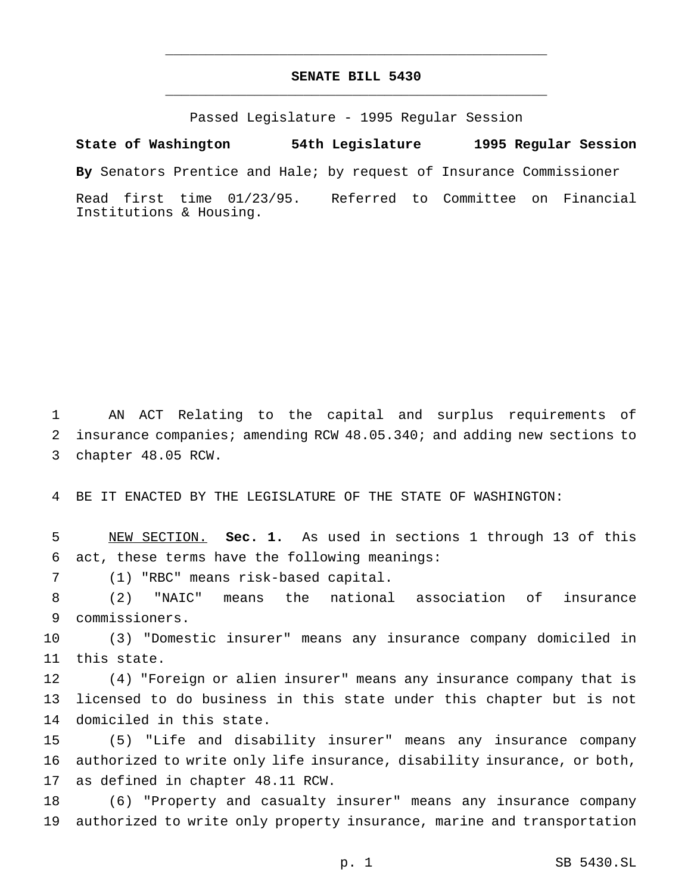# **SENATE BILL 5430** \_\_\_\_\_\_\_\_\_\_\_\_\_\_\_\_\_\_\_\_\_\_\_\_\_\_\_\_\_\_\_\_\_\_\_\_\_\_\_\_\_\_\_\_\_\_\_

\_\_\_\_\_\_\_\_\_\_\_\_\_\_\_\_\_\_\_\_\_\_\_\_\_\_\_\_\_\_\_\_\_\_\_\_\_\_\_\_\_\_\_\_\_\_\_

Passed Legislature - 1995 Regular Session

**State of Washington 54th Legislature 1995 Regular Session**

**By** Senators Prentice and Hale; by request of Insurance Commissioner

Read first time 01/23/95. Referred to Committee on Financial Institutions & Housing.

 AN ACT Relating to the capital and surplus requirements of insurance companies; amending RCW 48.05.340; and adding new sections to chapter 48.05 RCW.

BE IT ENACTED BY THE LEGISLATURE OF THE STATE OF WASHINGTON:

 NEW SECTION. **Sec. 1.** As used in sections 1 through 13 of this act, these terms have the following meanings:

(1) "RBC" means risk-based capital.

 (2) "NAIC" means the national association of insurance commissioners.

 (3) "Domestic insurer" means any insurance company domiciled in this state.

 (4) "Foreign or alien insurer" means any insurance company that is licensed to do business in this state under this chapter but is not domiciled in this state.

 (5) "Life and disability insurer" means any insurance company authorized to write only life insurance, disability insurance, or both, as defined in chapter 48.11 RCW.

 (6) "Property and casualty insurer" means any insurance company authorized to write only property insurance, marine and transportation

p. 1 SB 5430.SL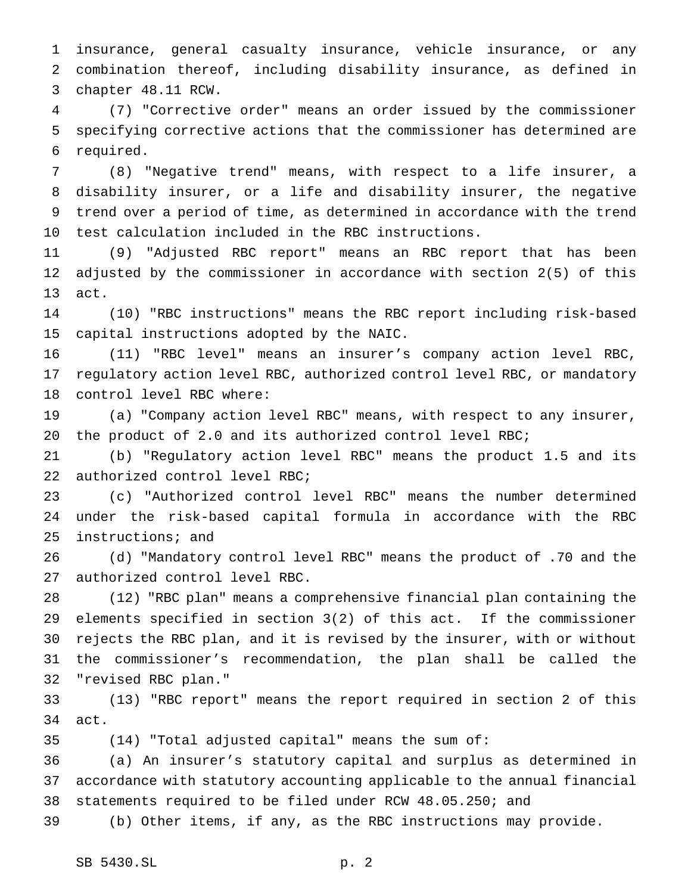insurance, general casualty insurance, vehicle insurance, or any combination thereof, including disability insurance, as defined in chapter 48.11 RCW.

 (7) "Corrective order" means an order issued by the commissioner specifying corrective actions that the commissioner has determined are required.

 (8) "Negative trend" means, with respect to a life insurer, a disability insurer, or a life and disability insurer, the negative trend over a period of time, as determined in accordance with the trend test calculation included in the RBC instructions.

 (9) "Adjusted RBC report" means an RBC report that has been adjusted by the commissioner in accordance with section 2(5) of this act.

 (10) "RBC instructions" means the RBC report including risk-based capital instructions adopted by the NAIC.

 (11) "RBC level" means an insurer's company action level RBC, regulatory action level RBC, authorized control level RBC, or mandatory control level RBC where:

 (a) "Company action level RBC" means, with respect to any insurer, the product of 2.0 and its authorized control level RBC;

 (b) "Regulatory action level RBC" means the product 1.5 and its authorized control level RBC;

 (c) "Authorized control level RBC" means the number determined under the risk-based capital formula in accordance with the RBC instructions; and

 (d) "Mandatory control level RBC" means the product of .70 and the authorized control level RBC.

 (12) "RBC plan" means a comprehensive financial plan containing the elements specified in section 3(2) of this act. If the commissioner rejects the RBC plan, and it is revised by the insurer, with or without the commissioner's recommendation, the plan shall be called the "revised RBC plan."

 (13) "RBC report" means the report required in section 2 of this act.

(14) "Total adjusted capital" means the sum of:

 (a) An insurer's statutory capital and surplus as determined in accordance with statutory accounting applicable to the annual financial statements required to be filed under RCW 48.05.250; and

(b) Other items, if any, as the RBC instructions may provide.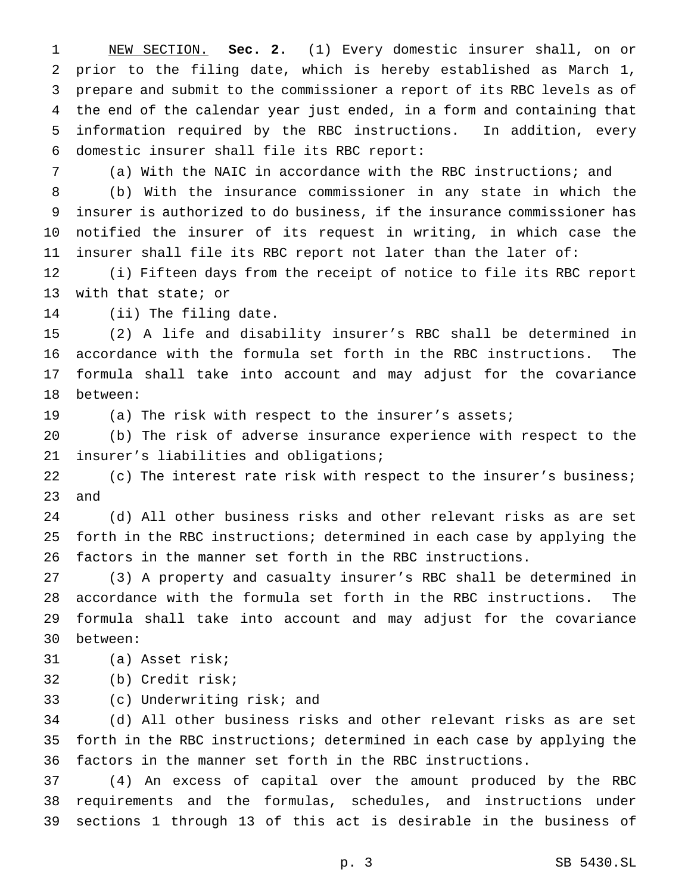NEW SECTION. **Sec. 2.** (1) Every domestic insurer shall, on or prior to the filing date, which is hereby established as March 1, prepare and submit to the commissioner a report of its RBC levels as of the end of the calendar year just ended, in a form and containing that information required by the RBC instructions. In addition, every domestic insurer shall file its RBC report:

(a) With the NAIC in accordance with the RBC instructions; and

 (b) With the insurance commissioner in any state in which the insurer is authorized to do business, if the insurance commissioner has notified the insurer of its request in writing, in which case the insurer shall file its RBC report not later than the later of:

 (i) Fifteen days from the receipt of notice to file its RBC report with that state; or

(ii) The filing date.

 (2) A life and disability insurer's RBC shall be determined in accordance with the formula set forth in the RBC instructions. The formula shall take into account and may adjust for the covariance between:

(a) The risk with respect to the insurer's assets;

 (b) The risk of adverse insurance experience with respect to the insurer's liabilities and obligations;

22 (c) The interest rate risk with respect to the insurer's business; and

 (d) All other business risks and other relevant risks as are set forth in the RBC instructions; determined in each case by applying the factors in the manner set forth in the RBC instructions.

 (3) A property and casualty insurer's RBC shall be determined in accordance with the formula set forth in the RBC instructions. The formula shall take into account and may adjust for the covariance between:

(a) Asset risk;

(b) Credit risk;

(c) Underwriting risk; and

 (d) All other business risks and other relevant risks as are set forth in the RBC instructions; determined in each case by applying the factors in the manner set forth in the RBC instructions.

 (4) An excess of capital over the amount produced by the RBC requirements and the formulas, schedules, and instructions under sections 1 through 13 of this act is desirable in the business of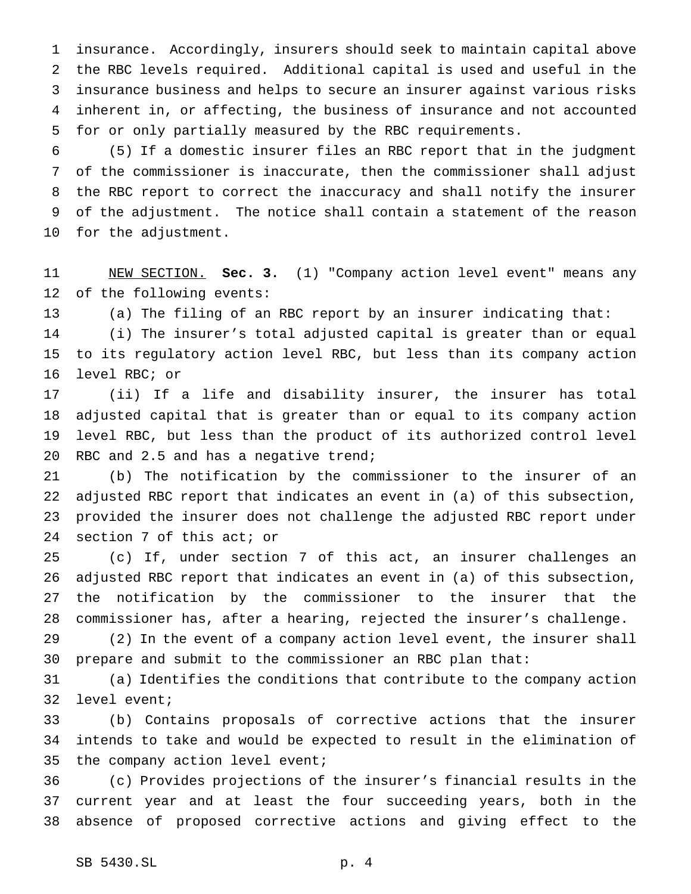insurance. Accordingly, insurers should seek to maintain capital above the RBC levels required. Additional capital is used and useful in the insurance business and helps to secure an insurer against various risks inherent in, or affecting, the business of insurance and not accounted for or only partially measured by the RBC requirements.

 (5) If a domestic insurer files an RBC report that in the judgment of the commissioner is inaccurate, then the commissioner shall adjust the RBC report to correct the inaccuracy and shall notify the insurer of the adjustment. The notice shall contain a statement of the reason for the adjustment.

 NEW SECTION. **Sec. 3.** (1) "Company action level event" means any of the following events:

(a) The filing of an RBC report by an insurer indicating that:

 (i) The insurer's total adjusted capital is greater than or equal to its regulatory action level RBC, but less than its company action level RBC; or

 (ii) If a life and disability insurer, the insurer has total adjusted capital that is greater than or equal to its company action level RBC, but less than the product of its authorized control level RBC and 2.5 and has a negative trend;

 (b) The notification by the commissioner to the insurer of an adjusted RBC report that indicates an event in (a) of this subsection, provided the insurer does not challenge the adjusted RBC report under section 7 of this act; or

 (c) If, under section 7 of this act, an insurer challenges an adjusted RBC report that indicates an event in (a) of this subsection, the notification by the commissioner to the insurer that the commissioner has, after a hearing, rejected the insurer's challenge.

 (2) In the event of a company action level event, the insurer shall prepare and submit to the commissioner an RBC plan that:

 (a) Identifies the conditions that contribute to the company action level event;

 (b) Contains proposals of corrective actions that the insurer intends to take and would be expected to result in the elimination of 35 the company action level event;

 (c) Provides projections of the insurer's financial results in the current year and at least the four succeeding years, both in the absence of proposed corrective actions and giving effect to the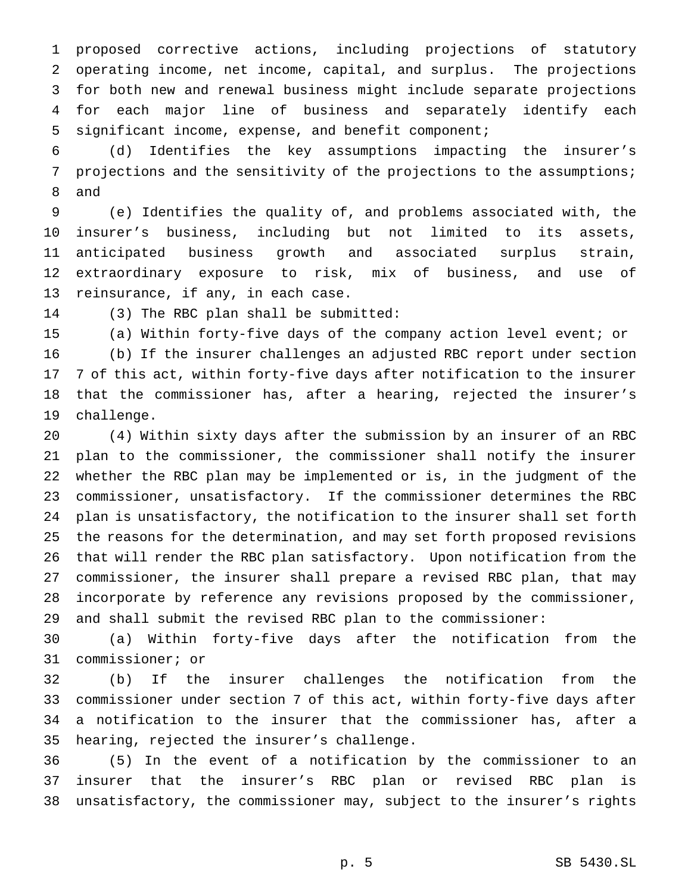proposed corrective actions, including projections of statutory operating income, net income, capital, and surplus. The projections for both new and renewal business might include separate projections for each major line of business and separately identify each significant income, expense, and benefit component;

 (d) Identifies the key assumptions impacting the insurer's projections and the sensitivity of the projections to the assumptions; and

 (e) Identifies the quality of, and problems associated with, the insurer's business, including but not limited to its assets, anticipated business growth and associated surplus strain, extraordinary exposure to risk, mix of business, and use of reinsurance, if any, in each case.

(3) The RBC plan shall be submitted:

(a) Within forty-five days of the company action level event; or

 (b) If the insurer challenges an adjusted RBC report under section 7 of this act, within forty-five days after notification to the insurer that the commissioner has, after a hearing, rejected the insurer's challenge.

 (4) Within sixty days after the submission by an insurer of an RBC plan to the commissioner, the commissioner shall notify the insurer whether the RBC plan may be implemented or is, in the judgment of the commissioner, unsatisfactory. If the commissioner determines the RBC plan is unsatisfactory, the notification to the insurer shall set forth the reasons for the determination, and may set forth proposed revisions that will render the RBC plan satisfactory. Upon notification from the commissioner, the insurer shall prepare a revised RBC plan, that may incorporate by reference any revisions proposed by the commissioner, and shall submit the revised RBC plan to the commissioner:

 (a) Within forty-five days after the notification from the commissioner; or

 (b) If the insurer challenges the notification from the commissioner under section 7 of this act, within forty-five days after a notification to the insurer that the commissioner has, after a hearing, rejected the insurer's challenge.

 (5) In the event of a notification by the commissioner to an insurer that the insurer's RBC plan or revised RBC plan is unsatisfactory, the commissioner may, subject to the insurer's rights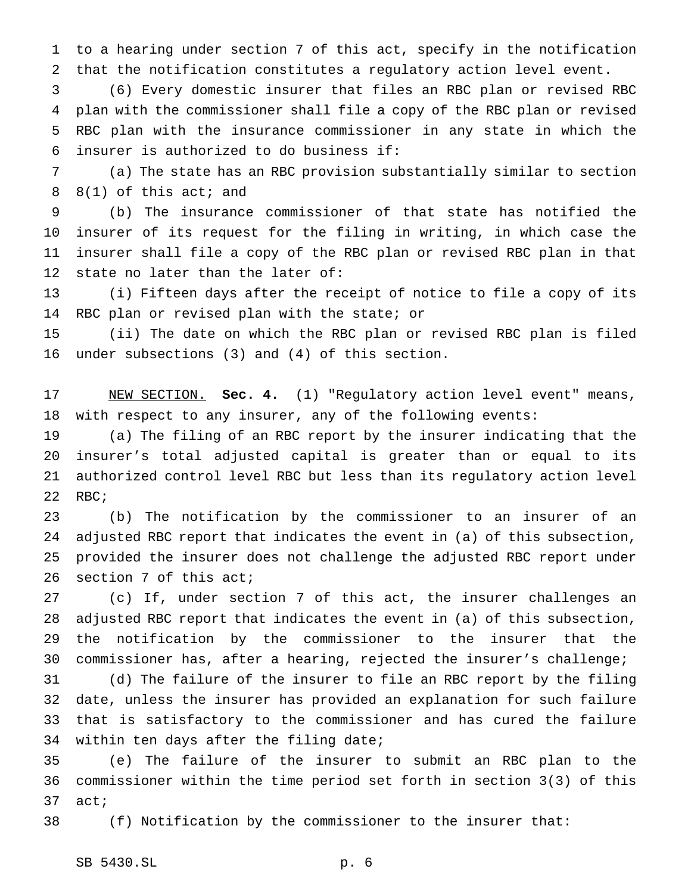to a hearing under section 7 of this act, specify in the notification that the notification constitutes a regulatory action level event.

 (6) Every domestic insurer that files an RBC plan or revised RBC plan with the commissioner shall file a copy of the RBC plan or revised RBC plan with the insurance commissioner in any state in which the insurer is authorized to do business if:

 (a) The state has an RBC provision substantially similar to section 8(1) of this act; and

 (b) The insurance commissioner of that state has notified the insurer of its request for the filing in writing, in which case the insurer shall file a copy of the RBC plan or revised RBC plan in that state no later than the later of:

 (i) Fifteen days after the receipt of notice to file a copy of its RBC plan or revised plan with the state; or

 (ii) The date on which the RBC plan or revised RBC plan is filed under subsections (3) and (4) of this section.

 NEW SECTION. **Sec. 4.** (1) "Regulatory action level event" means, with respect to any insurer, any of the following events:

 (a) The filing of an RBC report by the insurer indicating that the insurer's total adjusted capital is greater than or equal to its authorized control level RBC but less than its regulatory action level 22 RBC;

 (b) The notification by the commissioner to an insurer of an adjusted RBC report that indicates the event in (a) of this subsection, provided the insurer does not challenge the adjusted RBC report under section 7 of this act;

 (c) If, under section 7 of this act, the insurer challenges an adjusted RBC report that indicates the event in (a) of this subsection, the notification by the commissioner to the insurer that the commissioner has, after a hearing, rejected the insurer's challenge;

 (d) The failure of the insurer to file an RBC report by the filing date, unless the insurer has provided an explanation for such failure that is satisfactory to the commissioner and has cured the failure within ten days after the filing date;

 (e) The failure of the insurer to submit an RBC plan to the commissioner within the time period set forth in section 3(3) of this act;

(f) Notification by the commissioner to the insurer that: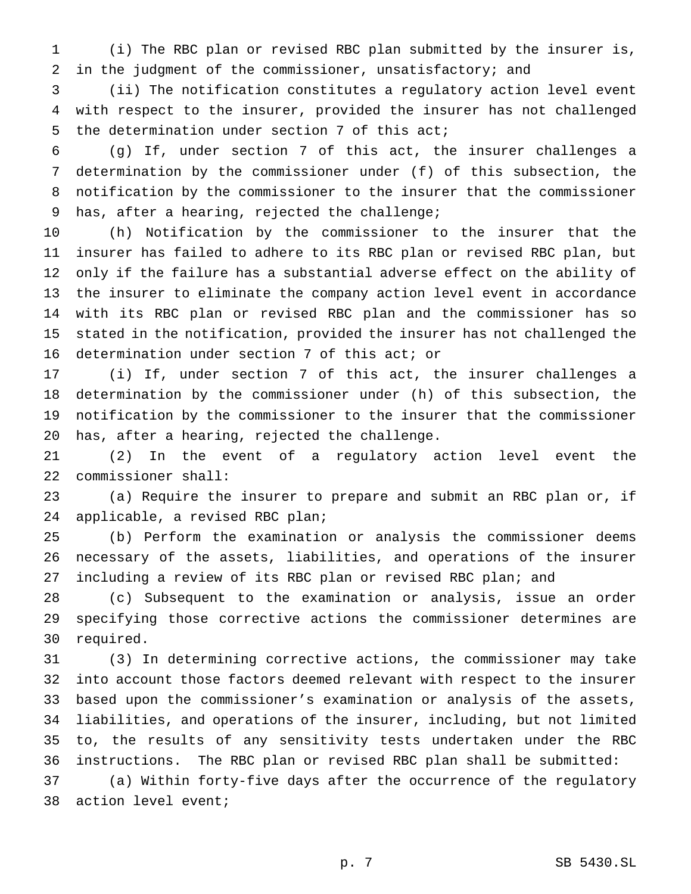(i) The RBC plan or revised RBC plan submitted by the insurer is, in the judgment of the commissioner, unsatisfactory; and

 (ii) The notification constitutes a regulatory action level event with respect to the insurer, provided the insurer has not challenged the determination under section 7 of this act;

 (g) If, under section 7 of this act, the insurer challenges a determination by the commissioner under (f) of this subsection, the notification by the commissioner to the insurer that the commissioner has, after a hearing, rejected the challenge;

 (h) Notification by the commissioner to the insurer that the insurer has failed to adhere to its RBC plan or revised RBC plan, but only if the failure has a substantial adverse effect on the ability of the insurer to eliminate the company action level event in accordance with its RBC plan or revised RBC plan and the commissioner has so stated in the notification, provided the insurer has not challenged the determination under section 7 of this act; or

 (i) If, under section 7 of this act, the insurer challenges a determination by the commissioner under (h) of this subsection, the notification by the commissioner to the insurer that the commissioner has, after a hearing, rejected the challenge.

 (2) In the event of a regulatory action level event the commissioner shall:

 (a) Require the insurer to prepare and submit an RBC plan or, if applicable, a revised RBC plan;

 (b) Perform the examination or analysis the commissioner deems necessary of the assets, liabilities, and operations of the insurer including a review of its RBC plan or revised RBC plan; and

 (c) Subsequent to the examination or analysis, issue an order specifying those corrective actions the commissioner determines are required.

 (3) In determining corrective actions, the commissioner may take into account those factors deemed relevant with respect to the insurer based upon the commissioner's examination or analysis of the assets, liabilities, and operations of the insurer, including, but not limited to, the results of any sensitivity tests undertaken under the RBC instructions. The RBC plan or revised RBC plan shall be submitted:

 (a) Within forty-five days after the occurrence of the regulatory action level event;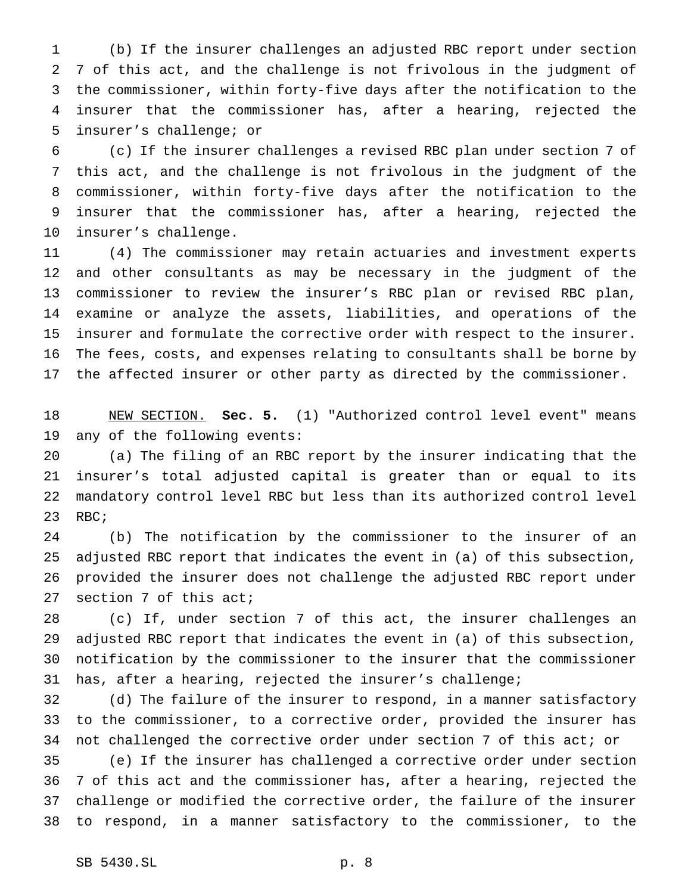(b) If the insurer challenges an adjusted RBC report under section 7 of this act, and the challenge is not frivolous in the judgment of the commissioner, within forty-five days after the notification to the insurer that the commissioner has, after a hearing, rejected the insurer's challenge; or

 (c) If the insurer challenges a revised RBC plan under section 7 of this act, and the challenge is not frivolous in the judgment of the commissioner, within forty-five days after the notification to the insurer that the commissioner has, after a hearing, rejected the insurer's challenge.

 (4) The commissioner may retain actuaries and investment experts and other consultants as may be necessary in the judgment of the commissioner to review the insurer's RBC plan or revised RBC plan, examine or analyze the assets, liabilities, and operations of the insurer and formulate the corrective order with respect to the insurer. The fees, costs, and expenses relating to consultants shall be borne by the affected insurer or other party as directed by the commissioner.

 NEW SECTION. **Sec. 5.** (1) "Authorized control level event" means any of the following events:

 (a) The filing of an RBC report by the insurer indicating that the insurer's total adjusted capital is greater than or equal to its mandatory control level RBC but less than its authorized control level 23 RBC;

 (b) The notification by the commissioner to the insurer of an adjusted RBC report that indicates the event in (a) of this subsection, provided the insurer does not challenge the adjusted RBC report under section 7 of this act;

 (c) If, under section 7 of this act, the insurer challenges an adjusted RBC report that indicates the event in (a) of this subsection, notification by the commissioner to the insurer that the commissioner has, after a hearing, rejected the insurer's challenge;

 (d) The failure of the insurer to respond, in a manner satisfactory to the commissioner, to a corrective order, provided the insurer has not challenged the corrective order under section 7 of this act; or

 (e) If the insurer has challenged a corrective order under section 7 of this act and the commissioner has, after a hearing, rejected the challenge or modified the corrective order, the failure of the insurer to respond, in a manner satisfactory to the commissioner, to the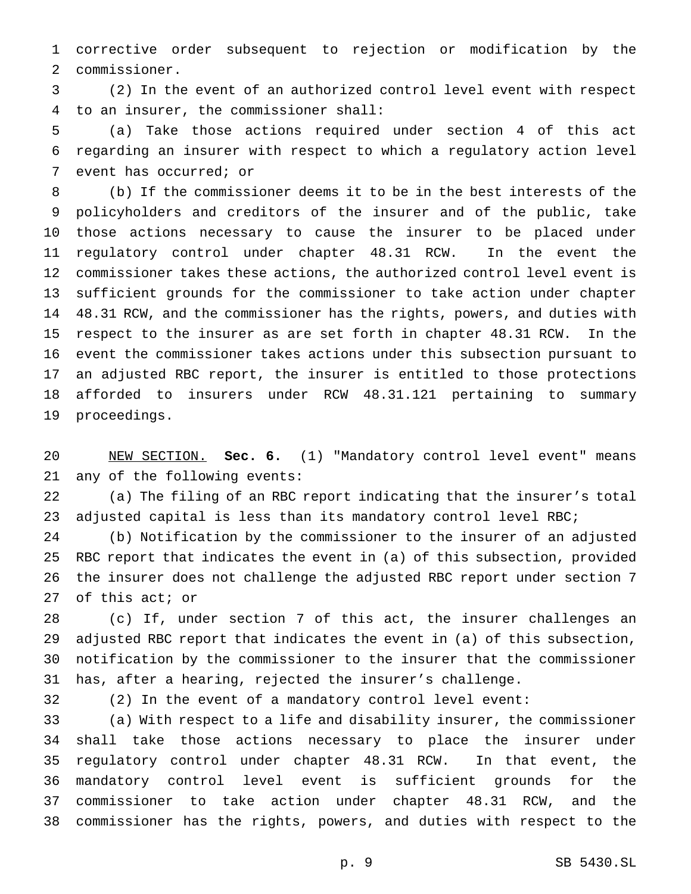corrective order subsequent to rejection or modification by the commissioner.

 (2) In the event of an authorized control level event with respect to an insurer, the commissioner shall:

 (a) Take those actions required under section 4 of this act regarding an insurer with respect to which a regulatory action level event has occurred; or

 (b) If the commissioner deems it to be in the best interests of the policyholders and creditors of the insurer and of the public, take those actions necessary to cause the insurer to be placed under regulatory control under chapter 48.31 RCW. In the event the commissioner takes these actions, the authorized control level event is sufficient grounds for the commissioner to take action under chapter 48.31 RCW, and the commissioner has the rights, powers, and duties with respect to the insurer as are set forth in chapter 48.31 RCW. In the event the commissioner takes actions under this subsection pursuant to an adjusted RBC report, the insurer is entitled to those protections afforded to insurers under RCW 48.31.121 pertaining to summary proceedings.

 NEW SECTION. **Sec. 6.** (1) "Mandatory control level event" means any of the following events:

 (a) The filing of an RBC report indicating that the insurer's total 23 adjusted capital is less than its mandatory control level RBC;

 (b) Notification by the commissioner to the insurer of an adjusted RBC report that indicates the event in (a) of this subsection, provided the insurer does not challenge the adjusted RBC report under section 7 of this act; or

 (c) If, under section 7 of this act, the insurer challenges an adjusted RBC report that indicates the event in (a) of this subsection, notification by the commissioner to the insurer that the commissioner has, after a hearing, rejected the insurer's challenge.

(2) In the event of a mandatory control level event:

 (a) With respect to a life and disability insurer, the commissioner shall take those actions necessary to place the insurer under regulatory control under chapter 48.31 RCW. In that event, the mandatory control level event is sufficient grounds for the commissioner to take action under chapter 48.31 RCW, and the commissioner has the rights, powers, and duties with respect to the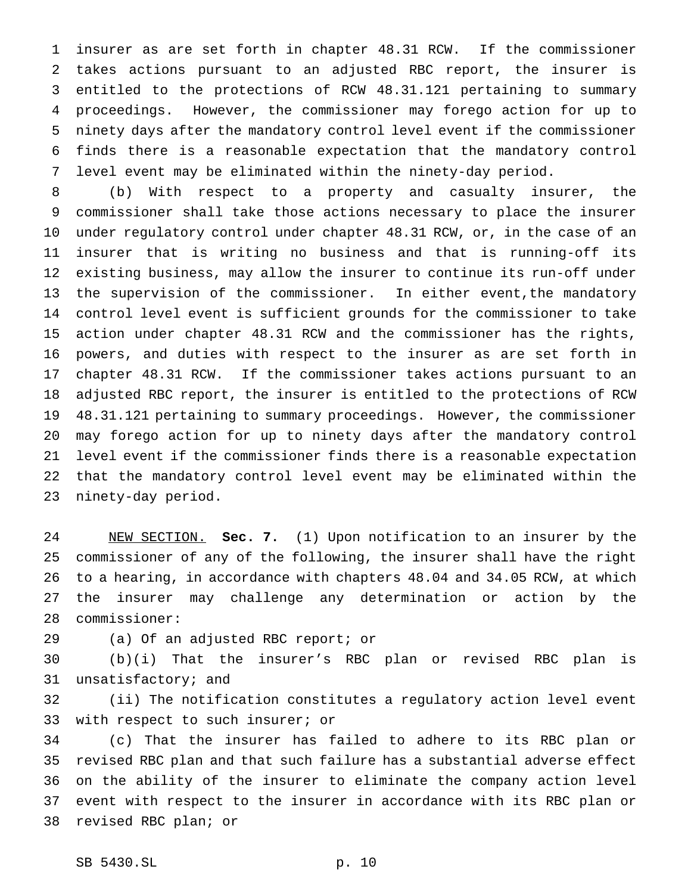insurer as are set forth in chapter 48.31 RCW. If the commissioner takes actions pursuant to an adjusted RBC report, the insurer is entitled to the protections of RCW 48.31.121 pertaining to summary proceedings. However, the commissioner may forego action for up to ninety days after the mandatory control level event if the commissioner finds there is a reasonable expectation that the mandatory control level event may be eliminated within the ninety-day period.

 (b) With respect to a property and casualty insurer, the commissioner shall take those actions necessary to place the insurer under regulatory control under chapter 48.31 RCW, or, in the case of an insurer that is writing no business and that is running-off its existing business, may allow the insurer to continue its run-off under the supervision of the commissioner. In either event,the mandatory control level event is sufficient grounds for the commissioner to take action under chapter 48.31 RCW and the commissioner has the rights, powers, and duties with respect to the insurer as are set forth in chapter 48.31 RCW. If the commissioner takes actions pursuant to an adjusted RBC report, the insurer is entitled to the protections of RCW 48.31.121 pertaining to summary proceedings. However, the commissioner may forego action for up to ninety days after the mandatory control level event if the commissioner finds there is a reasonable expectation that the mandatory control level event may be eliminated within the ninety-day period.

 NEW SECTION. **Sec. 7.** (1) Upon notification to an insurer by the commissioner of any of the following, the insurer shall have the right to a hearing, in accordance with chapters 48.04 and 34.05 RCW, at which the insurer may challenge any determination or action by the commissioner:

(a) Of an adjusted RBC report; or

 (b)(i) That the insurer's RBC plan or revised RBC plan is unsatisfactory; and

 (ii) The notification constitutes a regulatory action level event with respect to such insurer; or

 (c) That the insurer has failed to adhere to its RBC plan or revised RBC plan and that such failure has a substantial adverse effect on the ability of the insurer to eliminate the company action level event with respect to the insurer in accordance with its RBC plan or revised RBC plan; or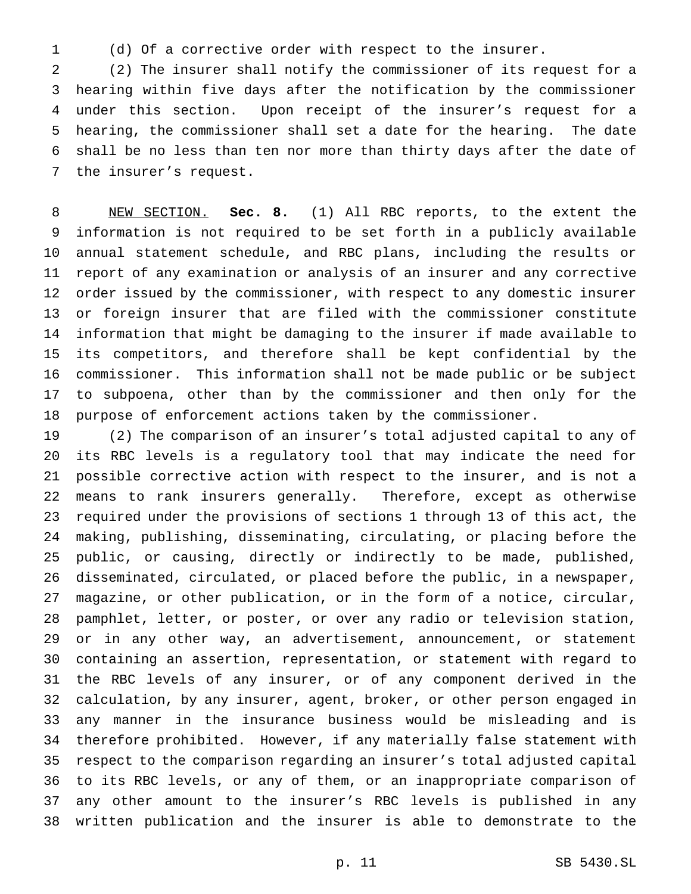(d) Of a corrective order with respect to the insurer.

 (2) The insurer shall notify the commissioner of its request for a hearing within five days after the notification by the commissioner under this section. Upon receipt of the insurer's request for a hearing, the commissioner shall set a date for the hearing. The date shall be no less than ten nor more than thirty days after the date of the insurer's request.

 NEW SECTION. **Sec. 8.** (1) All RBC reports, to the extent the information is not required to be set forth in a publicly available annual statement schedule, and RBC plans, including the results or report of any examination or analysis of an insurer and any corrective order issued by the commissioner, with respect to any domestic insurer or foreign insurer that are filed with the commissioner constitute information that might be damaging to the insurer if made available to its competitors, and therefore shall be kept confidential by the commissioner. This information shall not be made public or be subject to subpoena, other than by the commissioner and then only for the purpose of enforcement actions taken by the commissioner.

 (2) The comparison of an insurer's total adjusted capital to any of its RBC levels is a regulatory tool that may indicate the need for possible corrective action with respect to the insurer, and is not a means to rank insurers generally. Therefore, except as otherwise required under the provisions of sections 1 through 13 of this act, the making, publishing, disseminating, circulating, or placing before the public, or causing, directly or indirectly to be made, published, disseminated, circulated, or placed before the public, in a newspaper, magazine, or other publication, or in the form of a notice, circular, pamphlet, letter, or poster, or over any radio or television station, or in any other way, an advertisement, announcement, or statement containing an assertion, representation, or statement with regard to the RBC levels of any insurer, or of any component derived in the calculation, by any insurer, agent, broker, or other person engaged in any manner in the insurance business would be misleading and is therefore prohibited. However, if any materially false statement with respect to the comparison regarding an insurer's total adjusted capital to its RBC levels, or any of them, or an inappropriate comparison of any other amount to the insurer's RBC levels is published in any written publication and the insurer is able to demonstrate to the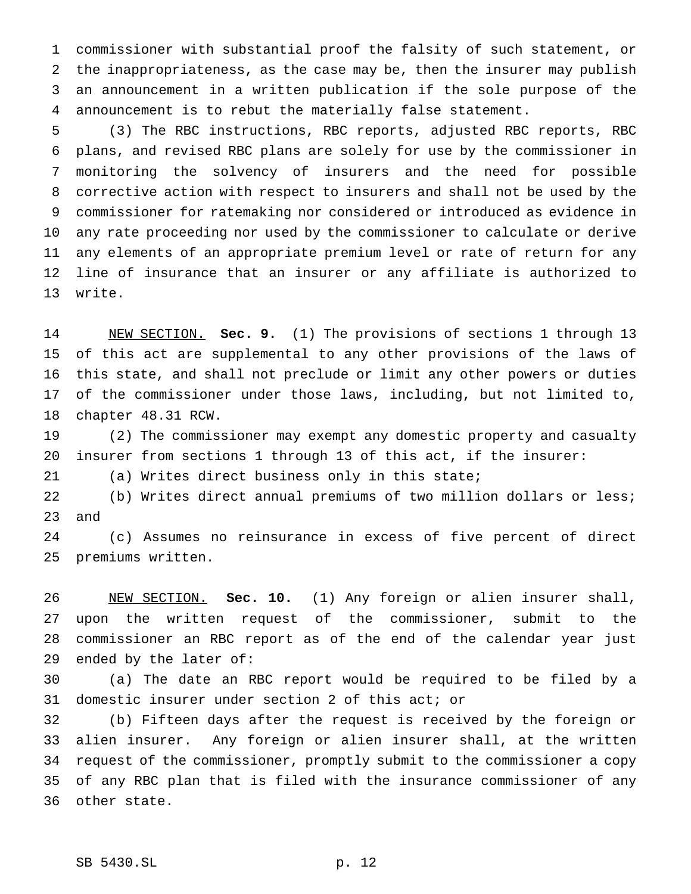commissioner with substantial proof the falsity of such statement, or the inappropriateness, as the case may be, then the insurer may publish an announcement in a written publication if the sole purpose of the announcement is to rebut the materially false statement.

 (3) The RBC instructions, RBC reports, adjusted RBC reports, RBC plans, and revised RBC plans are solely for use by the commissioner in monitoring the solvency of insurers and the need for possible corrective action with respect to insurers and shall not be used by the commissioner for ratemaking nor considered or introduced as evidence in any rate proceeding nor used by the commissioner to calculate or derive any elements of an appropriate premium level or rate of return for any line of insurance that an insurer or any affiliate is authorized to write.

 NEW SECTION. **Sec. 9.** (1) The provisions of sections 1 through 13 of this act are supplemental to any other provisions of the laws of this state, and shall not preclude or limit any other powers or duties of the commissioner under those laws, including, but not limited to, chapter 48.31 RCW.

 (2) The commissioner may exempt any domestic property and casualty insurer from sections 1 through 13 of this act, if the insurer:

(a) Writes direct business only in this state;

 (b) Writes direct annual premiums of two million dollars or less; and

 (c) Assumes no reinsurance in excess of five percent of direct premiums written.

 NEW SECTION. **Sec. 10.** (1) Any foreign or alien insurer shall, upon the written request of the commissioner, submit to the commissioner an RBC report as of the end of the calendar year just ended by the later of:

 (a) The date an RBC report would be required to be filed by a domestic insurer under section 2 of this act; or

 (b) Fifteen days after the request is received by the foreign or alien insurer. Any foreign or alien insurer shall, at the written request of the commissioner, promptly submit to the commissioner a copy of any RBC plan that is filed with the insurance commissioner of any other state.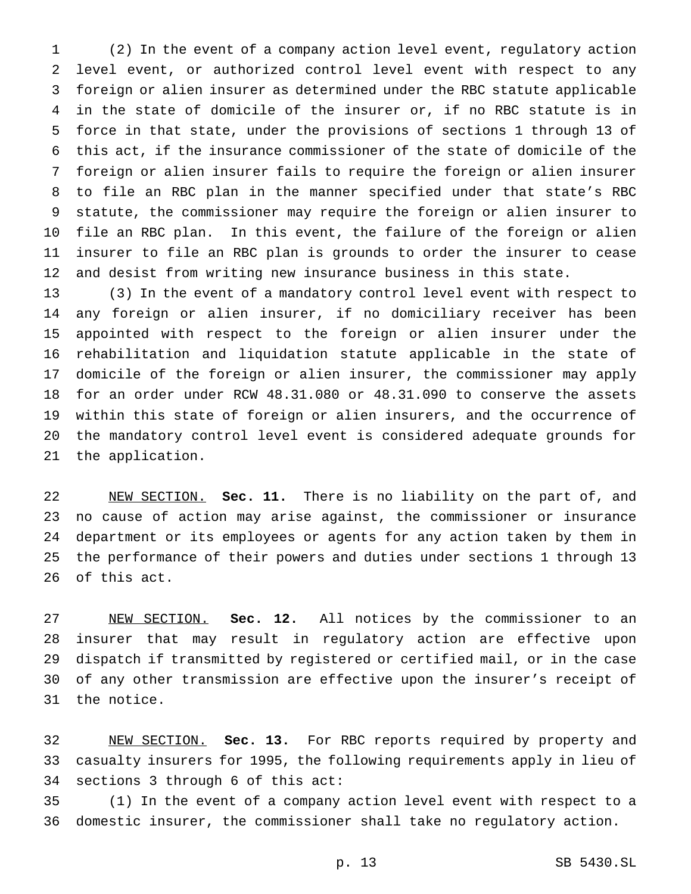(2) In the event of a company action level event, regulatory action level event, or authorized control level event with respect to any foreign or alien insurer as determined under the RBC statute applicable in the state of domicile of the insurer or, if no RBC statute is in force in that state, under the provisions of sections 1 through 13 of this act, if the insurance commissioner of the state of domicile of the foreign or alien insurer fails to require the foreign or alien insurer to file an RBC plan in the manner specified under that state's RBC statute, the commissioner may require the foreign or alien insurer to file an RBC plan. In this event, the failure of the foreign or alien insurer to file an RBC plan is grounds to order the insurer to cease and desist from writing new insurance business in this state.

 (3) In the event of a mandatory control level event with respect to any foreign or alien insurer, if no domiciliary receiver has been appointed with respect to the foreign or alien insurer under the rehabilitation and liquidation statute applicable in the state of domicile of the foreign or alien insurer, the commissioner may apply for an order under RCW 48.31.080 or 48.31.090 to conserve the assets within this state of foreign or alien insurers, and the occurrence of the mandatory control level event is considered adequate grounds for the application.

 NEW SECTION. **Sec. 11.** There is no liability on the part of, and no cause of action may arise against, the commissioner or insurance department or its employees or agents for any action taken by them in the performance of their powers and duties under sections 1 through 13 of this act.

 NEW SECTION. **Sec. 12.** All notices by the commissioner to an insurer that may result in regulatory action are effective upon dispatch if transmitted by registered or certified mail, or in the case of any other transmission are effective upon the insurer's receipt of the notice.

 NEW SECTION. **Sec. 13.** For RBC reports required by property and casualty insurers for 1995, the following requirements apply in lieu of sections 3 through 6 of this act:

 (1) In the event of a company action level event with respect to a domestic insurer, the commissioner shall take no regulatory action.

p. 13 SB 5430.SL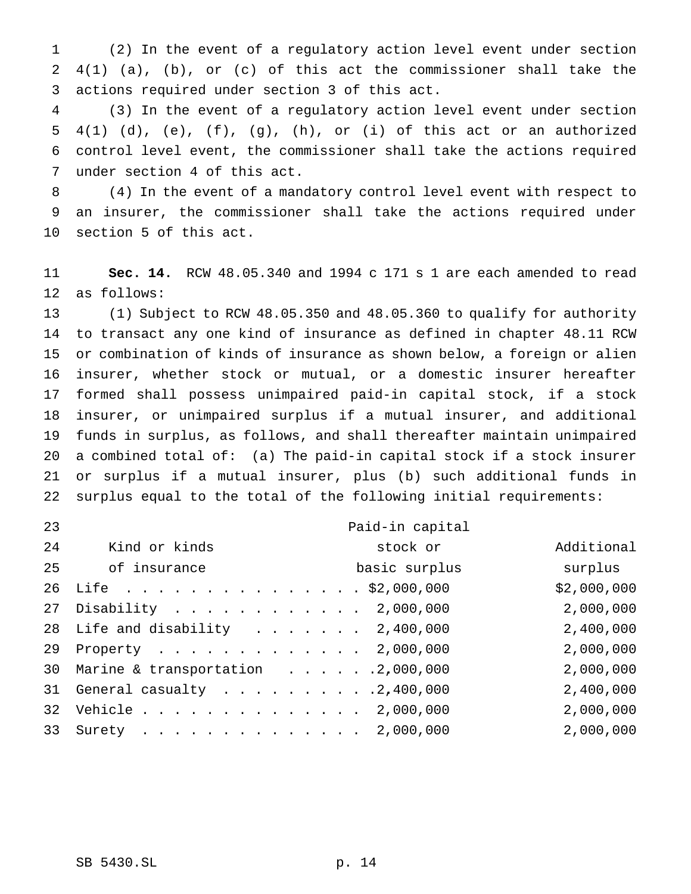(2) In the event of a regulatory action level event under section 4(1) (a), (b), or (c) of this act the commissioner shall take the actions required under section 3 of this act.

 (3) In the event of a regulatory action level event under section  $4(1)$  (d), (e), (f), (g), (h), or (i) of this act or an authorized control level event, the commissioner shall take the actions required under section 4 of this act.

 (4) In the event of a mandatory control level event with respect to an insurer, the commissioner shall take the actions required under section 5 of this act.

 **Sec. 14.** RCW 48.05.340 and 1994 c 171 s 1 are each amended to read as follows:

 (1) Subject to RCW 48.05.350 and 48.05.360 to qualify for authority to transact any one kind of insurance as defined in chapter 48.11 RCW or combination of kinds of insurance as shown below, a foreign or alien insurer, whether stock or mutual, or a domestic insurer hereafter formed shall possess unimpaired paid-in capital stock, if a stock insurer, or unimpaired surplus if a mutual insurer, and additional funds in surplus, as follows, and shall thereafter maintain unimpaired a combined total of: (a) The paid-in capital stock if a stock insurer or surplus if a mutual insurer, plus (b) such additional funds in surplus equal to the total of the following initial requirements:

| 23 |                                      |  |  | Paid-in capital |             |
|----|--------------------------------------|--|--|-----------------|-------------|
| 24 | Kind or kinds                        |  |  | stock or        | Additional  |
| 25 | of insurance                         |  |  | basic surplus   | surplus     |
|    | 26 Life \$2,000,000                  |  |  |                 | \$2,000,000 |
| 27 | Disability 2,000,000                 |  |  |                 | 2,000,000   |
|    | 28 Life and disability 2,400,000     |  |  |                 | 2,400,000   |
|    | 29 Property 2,000,000                |  |  |                 | 2,000,000   |
|    | 30 Marine & transportation 2,000,000 |  |  |                 | 2,000,000   |
| 31 | General casualty $\ldots$ 2,400,000  |  |  |                 | 2,400,000   |
|    | 32 Vehicle 2,000,000                 |  |  |                 | 2,000,000   |
|    | 33 Surety 2,000,000                  |  |  |                 | 2,000,000   |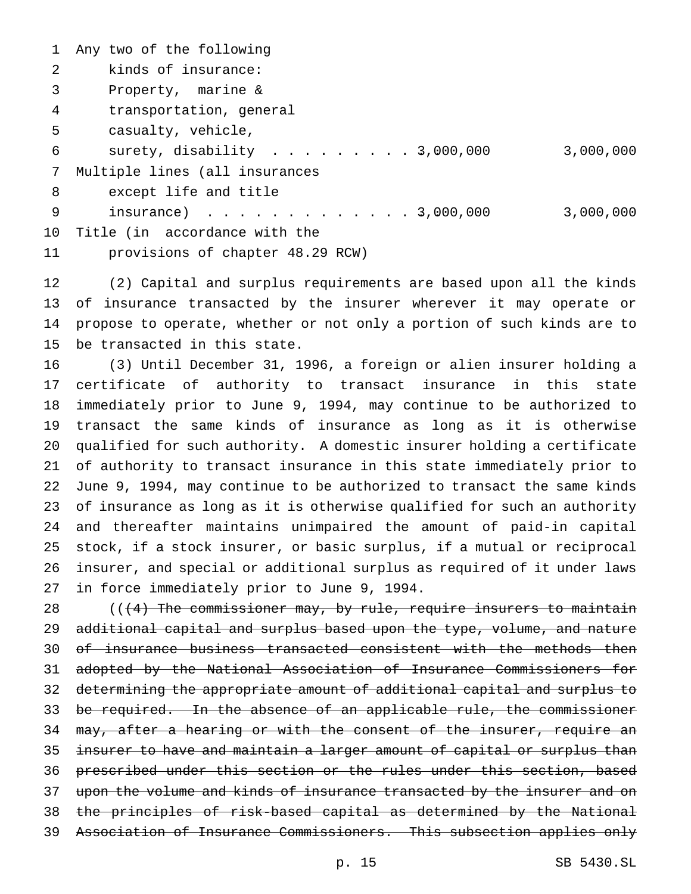Any two of the following kinds of insurance: Property, marine & transportation, general casualty, vehicle, surety, disability ........... 3,000,000 3,000,000 Multiple lines (all insurances except life and title 9 insurance) . . . . . . . . . . . . 3,000,000 3,000,000 Title (in accordance with the provisions of chapter 48.29 RCW)

 (2) Capital and surplus requirements are based upon all the kinds of insurance transacted by the insurer wherever it may operate or propose to operate, whether or not only a portion of such kinds are to be transacted in this state.

 (3) Until December 31, 1996, a foreign or alien insurer holding a certificate of authority to transact insurance in this state immediately prior to June 9, 1994, may continue to be authorized to transact the same kinds of insurance as long as it is otherwise qualified for such authority. A domestic insurer holding a certificate of authority to transact insurance in this state immediately prior to June 9, 1994, may continue to be authorized to transact the same kinds of insurance as long as it is otherwise qualified for such an authority and thereafter maintains unimpaired the amount of paid-in capital stock, if a stock insurer, or basic surplus, if a mutual or reciprocal insurer, and special or additional surplus as required of it under laws in force immediately prior to June 9, 1994.

 $((+4)$  The commissioner may, by rule, require insurers to maintain 29 additional capital and surplus based upon the type, volume, and nature 30 of insurance business transacted consistent with the methods then adopted by the National Association of Insurance Commissioners for determining the appropriate amount of additional capital and surplus to 33 be required. In the absence of an applicable rule, the commissioner 34 may, after a hearing or with the consent of the insurer, require an 35 insurer to have and maintain a larger amount of capital or surplus than prescribed under this section or the rules under this section, based 37 upon the volume and kinds of insurance transacted by the insurer and on the principles of risk-based capital as determined by the National Association of Insurance Commissioners. This subsection applies only